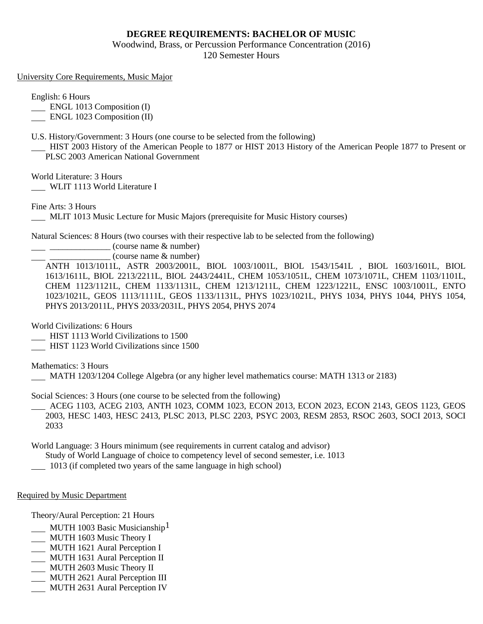## **DEGREE REQUIREMENTS: BACHELOR OF MUSIC**

Woodwind, Brass, or Percussion Performance Concentration (2016) 120 Semester Hours

University Core Requirements, Music Major

English: 6 Hours

**ENGL 1013 Composition (I)** 

ENGL 1023 Composition (II)

U.S. History/Government: 3 Hours (one course to be selected from the following)

 HIST 2003 History of the American People to 1877 or HIST 2013 History of the American People 1877 to Present or PLSC 2003 American National Government

World Literature: 3 Hours

WLIT 1113 World Literature I

Fine Arts: 3 Hours

MLIT 1013 Music Lecture for Music Majors (prerequisite for Music History courses)

Natural Sciences: 8 Hours (two courses with their respective lab to be selected from the following)

 $\frac{1}{2}$   $\frac{1}{2}$   $\frac{1}{2}$   $\frac{1}{2}$   $\frac{1}{2}$   $\frac{1}{2}$   $\frac{1}{2}$   $\frac{1}{2}$   $\frac{1}{2}$   $\frac{1}{2}$   $\frac{1}{2}$   $\frac{1}{2}$   $\frac{1}{2}$   $\frac{1}{2}$   $\frac{1}{2}$   $\frac{1}{2}$   $\frac{1}{2}$   $\frac{1}{2}$   $\frac{1}{2}$   $\frac{1}{2}$   $\frac{1}{2}$   $\frac{1}{2}$ 

\_\_\_\_\_\_\_\_\_\_\_\_\_\_ (course name & number)

ANTH 1013/1011L, ASTR 2003/2001L, BIOL 1003/1001L, BIOL 1543/1541L , BIOL 1603/1601L, BIOL 1613/1611L, BIOL 2213/2211L, BIOL 2443/2441L, CHEM 1053/1051L, CHEM 1073/1071L, CHEM 1103/1101L, CHEM 1123/1121L, CHEM 1133/1131L, CHEM 1213/1211L, CHEM 1223/1221L, ENSC 1003/1001L, ENTO 1023/1021L, GEOS 1113/1111L, GEOS 1133/1131L, PHYS 1023/1021L, PHYS 1034, PHYS 1044, PHYS 1054, PHYS 2013/2011L, PHYS 2033/2031L, PHYS 2054, PHYS 2074

World Civilizations: 6 Hours

HIST 1113 World Civilizations to 1500

HIST 1123 World Civilizations since 1500

Mathematics: 3 Hours

MATH 1203/1204 College Algebra (or any higher level mathematics course: MATH 1313 or 2183)

Social Sciences: 3 Hours (one course to be selected from the following)

 ACEG 1103, ACEG 2103, ANTH 1023, COMM 1023, ECON 2013, ECON 2023, ECON 2143, GEOS 1123, GEOS 2003, HESC 1403, HESC 2413, PLSC 2013, PLSC 2203, PSYC 2003, RESM 2853, RSOC 2603, SOCI 2013, SOCI 2033

World Language: 3 Hours minimum (see requirements in current catalog and advisor)

Study of World Language of choice to competency level of second semester, i.e. 1013

1013 (if completed two years of the same language in high school)

## Required by Music Department

Theory/Aural Perception: 21 Hours

- **MUTH 1003 Basic Musicianship**<sup>1</sup>
- MUTH 1603 Music Theory I
- MUTH 1621 Aural Perception I
- MUTH 1631 Aural Perception II
- MUTH 2603 Music Theory II
- MUTH 2621 Aural Perception III
- MUTH 2631 Aural Perception IV